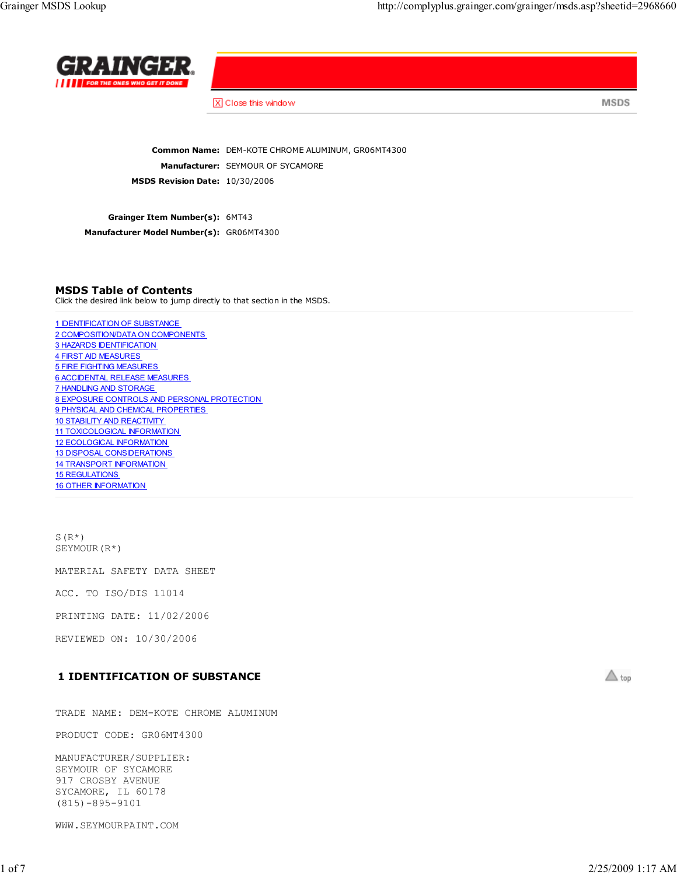

X Close this window

**MSDS** 

Common Name: DEM-KOTE CHROME ALUMINUM, GR06MT4300 Manufacturer: SEYMOUR OF SYCAMORE MSDS Revision Date: 10/30/2006

Grainger Item Number(s): 6MT43 Manufacturer Model Number(s): GR06MT4300

### MSDS Table of Contents

Click the desired link below to jump directly to that section in the MSDS.

1 IDENTIFICATION OF SUBSTANCE 2 COMPOSITION/DATA ON COMPONENTS 3 HAZARDS IDENTIFICATION 4 FIRST AID MEASURES 5 FIRE FIGHTING MEASURES 6 ACCIDENTAL RELEASE MEASURES 7 HANDLING AND STORAGE 8 EXPOSURE CONTROLS AND PERSONAL PROTECTION 9 PHYSICAL AND CHEMICAL PROPERTIES 10 STABILITY AND REACTIVITY 11 TOXICOLOGICAL INFORMATION 12 ECOLOGICAL INFORMATION 13 DISPOSAL CONSIDERATIONS 14 TRANSPORT INFORMATION 15 REGULATIONS 16 OTHER INFORMATION

 $S(R^{\star})$ SEYMOUR(R\*)

MATERIAL SAFETY DATA SHEET

ACC. TO ISO/DIS 11014

PRINTING DATE: 11/02/2006

REVIEWED ON: 10/30/2006

## 1 IDENTIFICATION OF SUBSTANCE

TRADE NAME: DEM-KOTE CHROME ALUMINUM

PRODUCT CODE: GR06MT4300

MANUFACTURER/SUPPLIER: SEYMOUR OF SYCAMORE 917 CROSBY AVENUE SYCAMORE, IL 60178 (815)-895-9101

WWW.SEYMOURPAINT.COM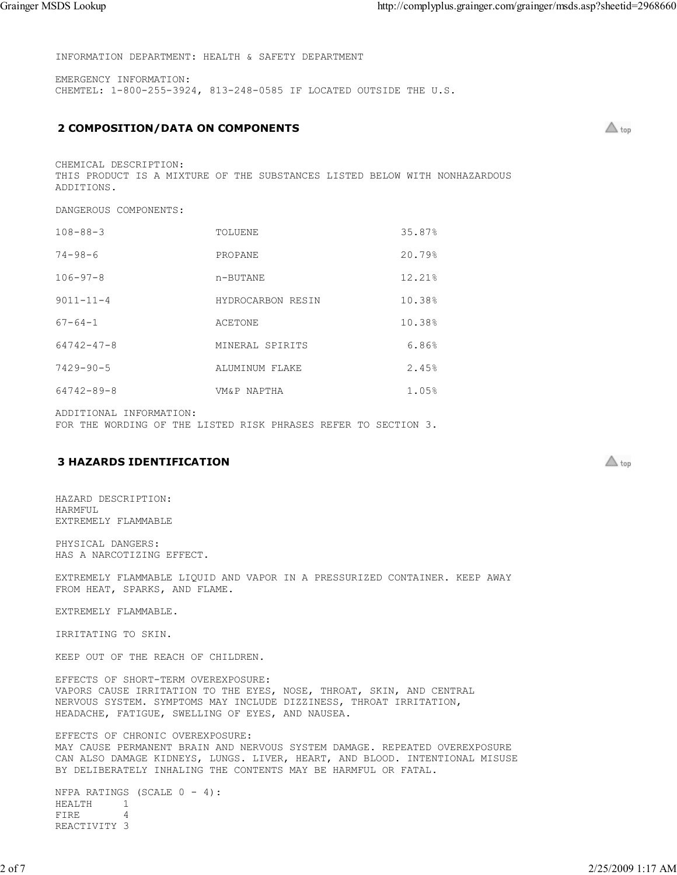INFORMATION DEPARTMENT: HEALTH & SAFETY DEPARTMENT

EMERGENCY INFORMATION: CHEMTEL: 1-800-255-3924, 813-248-0585 IF LOCATED OUTSIDE THE U.S.

## 2 COMPOSITION/DATA ON COMPONENTS

 $\triangle$  top

 $\triangle$  top

CHEMICAL DESCRIPTION: THIS PRODUCT IS A MIXTURE OF THE SUBSTANCES LISTED BELOW WITH NONHAZARDOUS ADDITIONS.

DANGEROUS COMPONENTS:

| $108 - 88 - 3$   | TOLUENE           | 35.87% |
|------------------|-------------------|--------|
| $74 - 98 - 6$    | PROPANE           | 20.79% |
| $106 - 97 - 8$   | n-BUTANE          | 12.21% |
| $9011 - 11 - 4$  | HYDROCARBON RESIN | 10.38% |
| $67 - 64 - 1$    | <b>ACETONE</b>    | 10.38% |
| $64742 - 47 - 8$ | MINERAL SPIRITS   | 6.86%  |
| $7429 - 90 - 5$  | ALUMINUM FLAKE    | 2.45%  |
| 64742-89-8       | VM&P NAPTHA       | 1.05%  |

ADDITIONAL INFORMATION:

FOR THE WORDING OF THE LISTED RISK PHRASES REFER TO SECTION 3.

### 3 HAZARDS IDENTIFICATION

HAZARD DESCRIPTION: HARMFUL EXTREMELY FLAMMABLE

PHYSICAL DANGERS: HAS A NARCOTIZING EFFECT.

EXTREMELY FLAMMABLE LIQUID AND VAPOR IN A PRESSURIZED CONTAINER. KEEP AWAY FROM HEAT, SPARKS, AND FLAME.

EXTREMELY FLAMMABLE.

IRRITATING TO SKIN.

KEEP OUT OF THE REACH OF CHILDREN.

EFFECTS OF SHORT-TERM OVEREXPOSURE: VAPORS CAUSE IRRITATION TO THE EYES, NOSE, THROAT, SKIN, AND CENTRAL NERVOUS SYSTEM. SYMPTOMS MAY INCLUDE DIZZINESS, THROAT IRRITATION, HEADACHE, FATIGUE, SWELLING OF EYES, AND NAUSEA.

EFFECTS OF CHRONIC OVEREXPOSURE: MAY CAUSE PERMANENT BRAIN AND NERVOUS SYSTEM DAMAGE. REPEATED OVEREXPOSURE CAN ALSO DAMAGE KIDNEYS, LUNGS. LIVER, HEART, AND BLOOD. INTENTIONAL MISUSE BY DELIBERATELY INHALING THE CONTENTS MAY BE HARMFUL OR FATAL.

NFPA RATINGS (SCALE  $0 - 4$ ): HEALTH 1<br>FIRE 4 FIRE REACTIVITY 3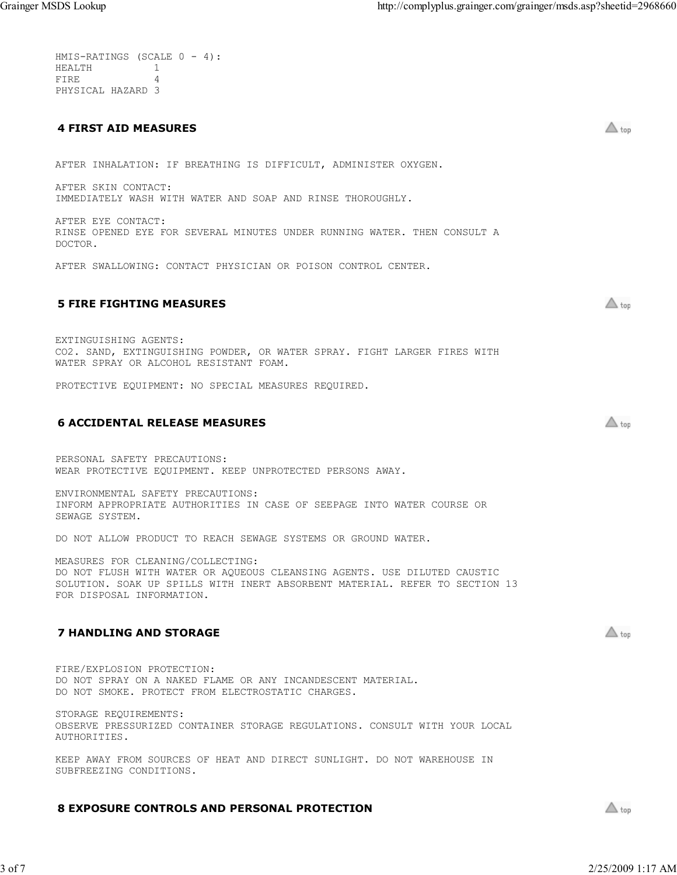$\triangle$  top

 $\triangle$  top

 $\triangle$  top

 $\triangle$  top

|                   | $HMS-RATINGS (SCALE 0 - 4):$ |
|-------------------|------------------------------|
| HEALTH            |                              |
| FTRE.             |                              |
| PHYSICAL HAZARD 3 |                              |

### 4 FIRST AID MEASURES

AFTER INHALATION: IF BREATHING IS DIFFICULT, ADMINISTER OXYGEN.

AFTER SKIN CONTACT: IMMEDIATELY WASH WITH WATER AND SOAP AND RINSE THOROUGHLY.

AFTER EYE CONTACT: RINSE OPENED EYE FOR SEVERAL MINUTES UNDER RUNNING WATER. THEN CONSULT A DOCTOR.

AFTER SWALLOWING: CONTACT PHYSICIAN OR POISON CONTROL CENTER.

### 5 FIRE FIGHTING MEASURES

EXTINGUISHING AGENTS: CO2. SAND, EXTINGUISHING POWDER, OR WATER SPRAY. FIGHT LARGER FIRES WITH WATER SPRAY OR ALCOHOL RESISTANT FOAM.

PROTECTIVE EQUIPMENT: NO SPECIAL MEASURES REQUIRED.

#### 6 ACCIDENTAL RELEASE MEASURES

PERSONAL SAFETY PRECAUTIONS: WEAR PROTECTIVE EQUIPMENT. KEEP UNPROTECTED PERSONS AWAY.

ENVIRONMENTAL SAFETY PRECAUTIONS: INFORM APPROPRIATE AUTHORITIES IN CASE OF SEEPAGE INTO WATER COURSE OR SEWAGE SYSTEM.

DO NOT ALLOW PRODUCT TO REACH SEWAGE SYSTEMS OR GROUND WATER.

MEASURES FOR CLEANING/COLLECTING: DO NOT FLUSH WITH WATER OR AQUEOUS CLEANSING AGENTS. USE DILUTED CAUSTIC SOLUTION. SOAK UP SPILLS WITH INERT ABSORBENT MATERIAL. REFER TO SECTION 13 FOR DISPOSAL INFORMATION.

### 7 HANDLING AND STORAGE

FIRE/EXPLOSION PROTECTION: DO NOT SPRAY ON A NAKED FLAME OR ANY INCANDESCENT MATERIAL. DO NOT SMOKE. PROTECT FROM ELECTROSTATIC CHARGES.

STORAGE REQUIREMENTS: OBSERVE PRESSURIZED CONTAINER STORAGE REGULATIONS. CONSULT WITH YOUR LOCAL AUTHORITIES.

KEEP AWAY FROM SOURCES OF HEAT AND DIRECT SUNLIGHT. DO NOT WAREHOUSE IN SUBFREEZING CONDITIONS.

### 8 EXPOSURE CONTROLS AND PERSONAL PROTECTION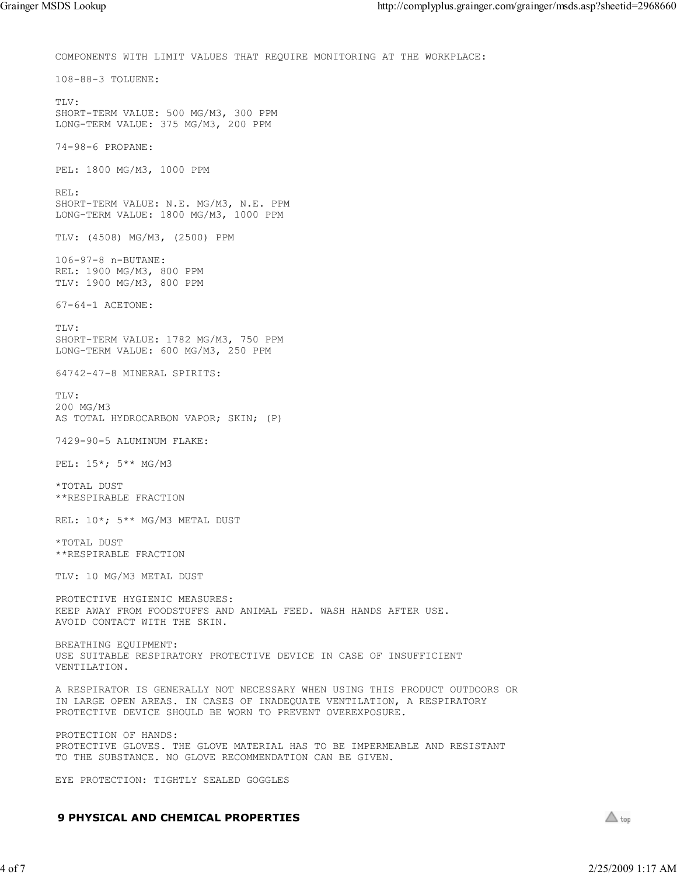COMPONENTS WITH LIMIT VALUES THAT REQUIRE MONITORING AT THE WORKPLACE: 108-88-3 TOLUENE: TLV: SHORT-TERM VALUE: 500 MG/M3, 300 PPM LONG-TERM VALUE: 375 MG/M3, 200 PPM 74-98-6 PROPANE: PEL: 1800 MG/M3, 1000 PPM REL: SHORT-TERM VALUE: N.E. MG/M3, N.E. PPM LONG-TERM VALUE: 1800 MG/M3, 1000 PPM TLV: (4508) MG/M3, (2500) PPM 106-97-8 n-BUTANE: REL: 1900 MG/M3, 800 PPM TLV: 1900 MG/M3, 800 PPM 67-64-1 ACETONE: TLV: SHORT-TERM VALUE: 1782 MG/M3, 750 PPM LONG-TERM VALUE: 600 MG/M3, 250 PPM 64742-47-8 MINERAL SPIRITS:  $TT.V \cdot$ 200 MG/M3 AS TOTAL HYDROCARBON VAPOR; SKIN; (P) 7429-90-5 ALUMINUM FLAKE: PEL: 15\*; 5\*\* MG/M3 \*TOTAL DUST \*\*RESPIRABLE FRACTION REL: 10\*; 5\*\* MG/M3 METAL DUST \*TOTAL DUST \*\*RESPIRABLE FRACTION TLV: 10 MG/M3 METAL DUST PROTECTIVE HYGIENIC MEASURES: KEEP AWAY FROM FOODSTUFFS AND ANIMAL FEED. WASH HANDS AFTER USE. AVOID CONTACT WITH THE SKIN. BREATHING EQUIPMENT: USE SUITABLE RESPIRATORY PROTECTIVE DEVICE IN CASE OF INSUFFICIENT VENTILATION. A RESPIRATOR IS GENERALLY NOT NECESSARY WHEN USING THIS PRODUCT OUTDOORS OR IN LARGE OPEN AREAS. IN CASES OF INADEQUATE VENTILATION, A RESPIRATORY PROTECTIVE DEVICE SHOULD BE WORN TO PREVENT OVEREXPOSURE. PROTECTION OF HANDS: PROTECTIVE GLOVES. THE GLOVE MATERIAL HAS TO BE IMPERMEABLE AND RESISTANT TO THE SUBSTANCE. NO GLOVE RECOMMENDATION CAN BE GIVEN. EYE PROTECTION: TIGHTLY SEALED GOGGLES

#### 9 PHYSICAL AND CHEMICAL PROPERTIES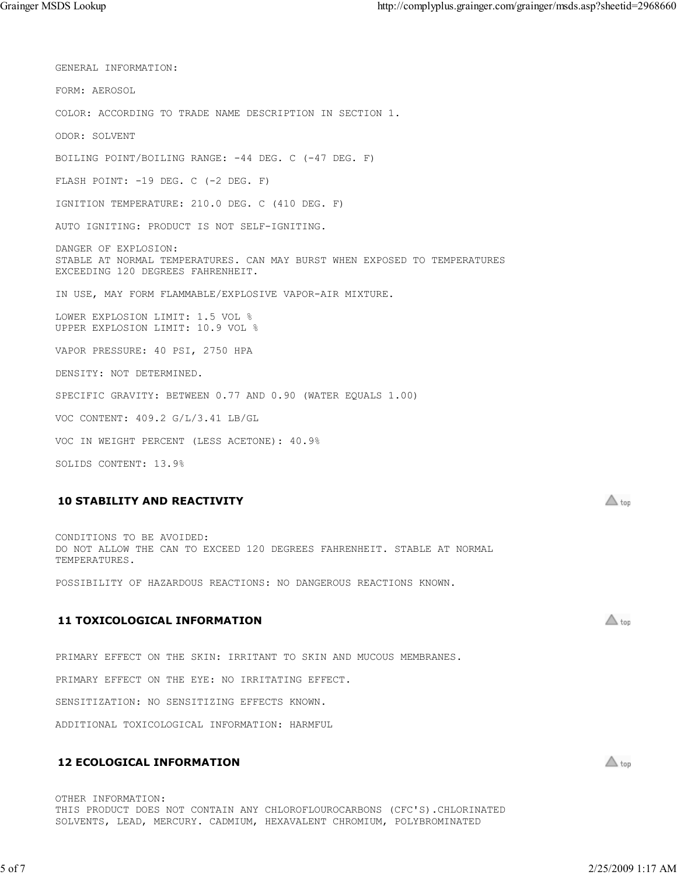GENERAL INFORMATION: FORM: AEROSOL COLOR: ACCORDING TO TRADE NAME DESCRIPTION IN SECTION 1. ODOR: SOLVENT BOILING POINT/BOILING RANGE: -44 DEG. C (-47 DEG. F) FLASH POINT: -19 DEG. C (-2 DEG. F) IGNITION TEMPERATURE: 210.0 DEG. C (410 DEG. F) AUTO IGNITING: PRODUCT IS NOT SELF-IGNITING. DANGER OF EXPLOSION: STABLE AT NORMAL TEMPERATURES. CAN MAY BURST WHEN EXPOSED TO TEMPERATURES EXCEEDING 120 DEGREES FAHRENHEIT. IN USE, MAY FORM FLAMMABLE/EXPLOSIVE VAPOR-AIR MIXTURE. LOWER EXPLOSION LIMIT: 1.5 VOL % UPPER EXPLOSION LIMIT: 10.9 VOL % VAPOR PRESSURE: 40 PSI, 2750 HPA DENSITY: NOT DETERMINED. SPECIFIC GRAVITY: BETWEEN 0.77 AND 0.90 (WATER EQUALS 1.00) VOC CONTENT: 409.2 G/L/3.41 LB/GL VOC IN WEIGHT PERCENT (LESS ACETONE): 40.9% SOLIDS CONTENT: 13.9%

### 10 STABILITY AND REACTIVITY

CONDITIONS TO BE AVOIDED: DO NOT ALLOW THE CAN TO EXCEED 120 DEGREES FAHRENHEIT. STABLE AT NORMAL TEMPERATURES.

POSSIBILITY OF HAZARDOUS REACTIONS: NO DANGEROUS REACTIONS KNOWN.

# 11 TOXICOLOGICAL INFORMATION

PRIMARY EFFECT ON THE SKIN: IRRITANT TO SKIN AND MUCOUS MEMBRANES.

PRIMARY EFFECT ON THE EYE: NO IRRITATING EFFECT.

SENSITIZATION: NO SENSITIZING EFFECTS KNOWN.

ADDITIONAL TOXICOLOGICAL INFORMATION: HARMFUL

### 12 ECOLOGICAL INFORMATION

OTHER INFORMATION: THIS PRODUCT DOES NOT CONTAIN ANY CHLOROFLOUROCARBONS (CFC'S).CHLORINATED SOLVENTS, LEAD, MERCURY. CADMIUM, HEXAVALENT CHROMIUM, POLYBROMINATED

 $\triangle$  top

 $\triangle$  top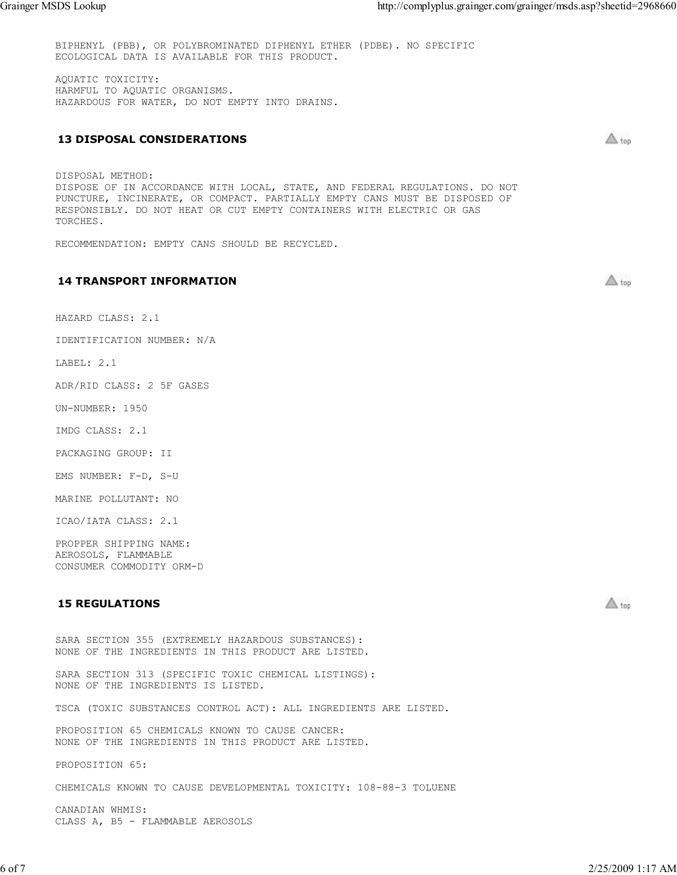BIPHENYL (PBB), OR POLYBROMINATED DIPHENYL ETHER (PDBE). NO SPECIFIC ECOLOGICAL DATA IS AVAILABLE FOR THIS PRODUCT.

AQUATIC TOXICITY: HARMFUL TO AQUATIC ORGANISMS. HAZARDOUS FOR WATER, DO NOT EMPTY INTO DRAINS.

### 13 DISPOSAL CONSIDERATIONS

DISPOSAL METHOD: DISPOSE OF IN ACCORDANCE WITH LOCAL, STATE, AND FEDERAL REGULATIONS. DO NOT PUNCTURE, INCINERATE, OR COMPACT. PARTIALLY EMPTY CANS MUST BE DISPOSED OF RESPONSIBLY. DO NOT HEAT OR CUT EMPTY CONTAINERS WITH ELECTRIC OR GAS TORCHES.

RECOMMENDATION: EMPTY CANS SHOULD BE RECYCLED.

### 14 TRANSPORT INFORMATION

 $\triangle$  top

 $\triangle$  top

 $\triangle$  top

HAZARD CLASS: 2.1

IDENTIFICATION NUMBER: N/A

LABEL: 2.1

ADR/RID CLASS: 2 5F GASES

UN-NUMBER: 1950

IMDG CLASS: 2.1

PACKAGING GROUP: II

EMS NUMBER: F-D, S-U

MARINE POLLUTANT: NO

ICAO/IATA CLASS: 2.1

PROPPER SHIPPING NAME: AEROSOLS, FLAMMABLE CONSUMER COMMODITY ORM-D

### 15 REGULATIONS

SARA SECTION 355 (EXTREMELY HAZARDOUS SUBSTANCES): NONE OF THE INGREDIENTS IN THIS PRODUCT ARE LISTED. SARA SECTION 313 (SPECIFIC TOXIC CHEMICAL LISTINGS): NONE OF THE INGREDIENTS IS LISTED. TSCA (TOXIC SUBSTANCES CONTROL ACT): ALL INGREDIENTS ARE LISTED. PROPOSITION 65 CHEMICALS KNOWN TO CAUSE CANCER: NONE OF THE INGREDIENTS IN THIS PRODUCT ARE LISTED. PROPOSITION 65: CHEMICALS KNOWN TO CAUSE DEVELOPMENTAL TOXICITY: 108-88-3 TOLUENE CANADIAN WHMIS: CLASS A, B5 - FLAMMABLE AEROSOLS